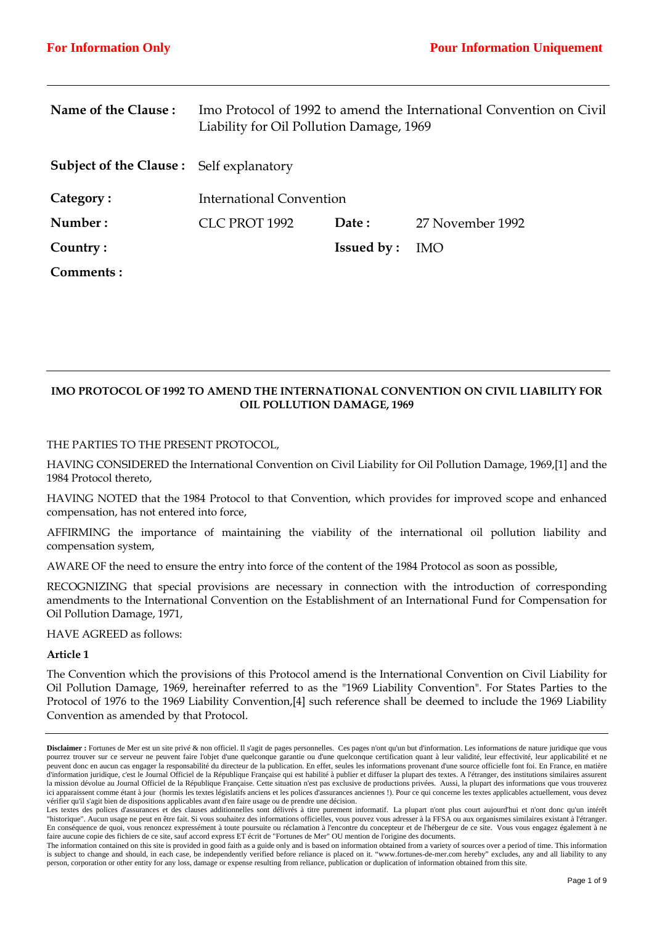| Name of the Clause:                            | Imo Protocol of 1992 to amend the International Convention on Civil<br>Liability for Oil Pollution Damage, 1969 |                   |                  |
|------------------------------------------------|-----------------------------------------------------------------------------------------------------------------|-------------------|------------------|
| <b>Subject of the Clause:</b> Self explanatory |                                                                                                                 |                   |                  |
| Category:                                      | International Convention                                                                                        |                   |                  |
| Number:                                        | CLC PROT 1992                                                                                                   | Date:             | 27 November 1992 |
| Country:                                       |                                                                                                                 | <b>Issued by:</b> | <b>IMO</b>       |
| Comments:                                      |                                                                                                                 |                   |                  |

# **IMO PROTOCOL OF 1992 TO AMEND THE INTERNATIONAL CONVENTION ON CIVIL LIABILITY FOR OIL POLLUTION DAMAGE, 1969**

## THE PARTIES TO THE PRESENT PROTOCOL,

HAVING CONSIDERED the International Convention on Civil Liability for Oil Pollution Damage, 1969,[1] and the 1984 Protocol thereto,

HAVING NOTED that the 1984 Protocol to that Convention, which provides for improved scope and enhanced compensation, has not entered into force,

AFFIRMING the importance of maintaining the viability of the international oil pollution liability and compensation system,

AWARE OF the need to ensure the entry into force of the content of the 1984 Protocol as soon as possible,

RECOGNIZING that special provisions are necessary in connection with the introduction of corresponding amendments to the International Convention on the Establishment of an International Fund for Compensation for Oil Pollution Damage, 1971,

HAVE AGREED as follows:

#### **Article 1**

The Convention which the provisions of this Protocol amend is the International Convention on Civil Liability for Oil Pollution Damage, 1969, hereinafter referred to as the "1969 Liability Convention". For States Parties to the Protocol of 1976 to the 1969 Liability Convention,[4] such reference shall be deemed to include the 1969 Liability Convention as amended by that Protocol.

**Disclaimer :** Fortunes de Mer est un site privé & non officiel. Il s'agit de pages personnelles. Ces pages n'ont qu'un but d'information. Les informations de nature juridique que vous pourrez trouver sur ce serveur ne peuvent faire l'objet d'une quelconque garantie ou d'une quelconque certification quant à leur validité, leur effectivité, leur applicabilité et ne peuvent donc en aucun cas engager la responsabilité du directeur de la publication. En effet, seules les informations provenant d'une source officielle font foi. En France, en matière d'information juridique, c'est le Journal Officiel de la République Française qui est habilité à publier et diffuser la plupart des textes. A l'étranger, des institutions similaires assurent la mission dévolue au Journal Officiel de la République Française. Cette situation n'est pas exclusive de productions privées. Aussi, la plupart des informations que vous trouverez ici apparaissent comme étant à jour (hormis les textes législatifs anciens et les polices d'assurances anciennes !). Pour ce qui concerne les textes applicables actuellement, vous devez vérifier qu'il s'agit bien de dispositions applicables avant d'en faire usage ou de prendre une décision.

Les textes des polices d'assurances et des clauses additionnelles sont délivrés à titre purement informatif. La plupart n'ont plus court aujourd'hui et n'ont donc qu'un intérêt "historique". Aucun usage ne peut en être fait. Si vous souhaitez des informations officielles, vous pouvez vous adresser à la FFSA ou aux organismes similaires existant à l'étranger. En conséquence de quoi, vous renoncez expressément à toute poursuite ou réclamation à l'encontre du concepteur et de l'hébergeur de ce site. Vous vous engagez également à ne faire aucune copie des fichiers de ce site, sauf accord express ET écrit de "Fortunes de Mer" OU mention de l'origine des documents.

The information contained on this site is provided in good faith as a guide only and is based on information obtained from a variety of sources over a period of time. This information is subject to change and should, in each case, be independently verified before reliance is placed on it. "www.fortunes-de-mer.com hereby" excludes, any and all liability to any person, corporation or other entity for any loss, damage or expense resulting from reliance, publication or duplication of information obtained from this site.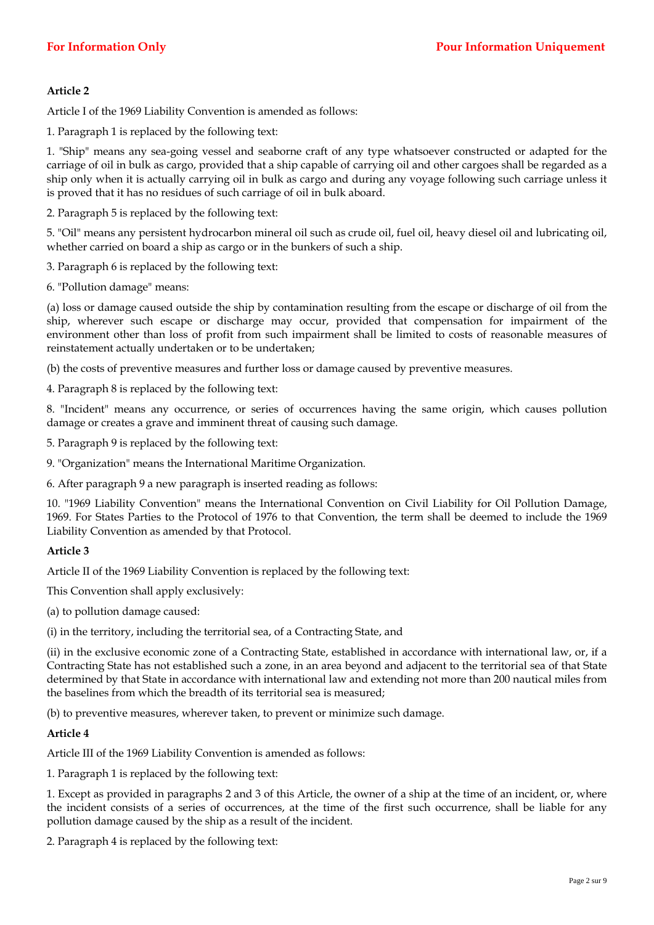Article I of the 1969 Liability Convention is amended as follows:

1. Paragraph 1 is replaced by the following text:

1. "Ship" means any sea-going vessel and seaborne craft of any type whatsoever constructed or adapted for the carriage of oil in bulk as cargo, provided that a ship capable of carrying oil and other cargoes shall be regarded as a ship only when it is actually carrying oil in bulk as cargo and during any voyage following such carriage unless it is proved that it has no residues of such carriage of oil in bulk aboard.

2. Paragraph 5 is replaced by the following text:

5. "Oil" means any persistent hydrocarbon mineral oil such as crude oil, fuel oil, heavy diesel oil and lubricating oil, whether carried on board a ship as cargo or in the bunkers of such a ship.

3. Paragraph 6 is replaced by the following text:

6. "Pollution damage" means:

(a) loss or damage caused outside the ship by contamination resulting from the escape or discharge of oil from the ship, wherever such escape or discharge may occur, provided that compensation for impairment of the environment other than loss of profit from such impairment shall be limited to costs of reasonable measures of reinstatement actually undertaken or to be undertaken;

(b) the costs of preventive measures and further loss or damage caused by preventive measures.

4. Paragraph 8 is replaced by the following text:

8. "Incident" means any occurrence, or series of occurrences having the same origin, which causes pollution damage or creates a grave and imminent threat of causing such damage.

5. Paragraph 9 is replaced by the following text:

9. "Organization" means the International Maritime Organization.

6. After paragraph 9 a new paragraph is inserted reading as follows:

10. "1969 Liability Convention" means the International Convention on Civil Liability for Oil Pollution Damage, 1969. For States Parties to the Protocol of 1976 to that Convention, the term shall be deemed to include the 1969 Liability Convention as amended by that Protocol.

# **Article 3**

Article II of the 1969 Liability Convention is replaced by the following text:

This Convention shall apply exclusively:

(a) to pollution damage caused:

(i) in the territory, including the territorial sea, of a Contracting State, and

(ii) in the exclusive economic zone of a Contracting State, established in accordance with international law, or, if a Contracting State has not established such a zone, in an area beyond and adjacent to the territorial sea of that State determined by that State in accordance with international law and extending not more than 200 nautical miles from the baselines from which the breadth of its territorial sea is measured;

(b) to preventive measures, wherever taken, to prevent or minimize such damage.

# **Article 4**

Article III of the 1969 Liability Convention is amended as follows:

1. Paragraph 1 is replaced by the following text:

1. Except as provided in paragraphs 2 and 3 of this Article, the owner of a ship at the time of an incident, or, where the incident consists of a series of occurrences, at the time of the first such occurrence, shall be liable for any pollution damage caused by the ship as a result of the incident.

2. Paragraph 4 is replaced by the following text: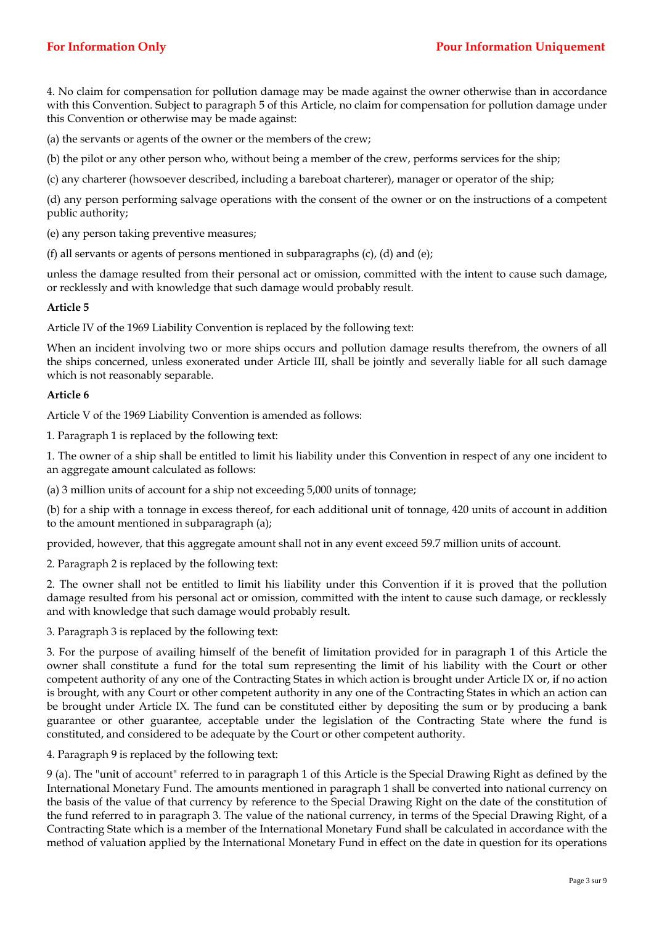4. No claim for compensation for pollution damage may be made against the owner otherwise than in accordance with this Convention. Subject to paragraph 5 of this Article, no claim for compensation for pollution damage under this Convention or otherwise may be made against:

(a) the servants or agents of the owner or the members of the crew;

(b) the pilot or any other person who, without being a member of the crew, performs services for the ship;

(c) any charterer (howsoever described, including a bareboat charterer), manager or operator of the ship;

(d) any person performing salvage operations with the consent of the owner or on the instructions of a competent public authority;

(e) any person taking preventive measures;

(f) all servants or agents of persons mentioned in subparagraphs (c), (d) and (e);

unless the damage resulted from their personal act or omission, committed with the intent to cause such damage, or recklessly and with knowledge that such damage would probably result.

## **Article 5**

Article IV of the 1969 Liability Convention is replaced by the following text:

When an incident involving two or more ships occurs and pollution damage results therefrom, the owners of all the ships concerned, unless exonerated under Article III, shall be jointly and severally liable for all such damage which is not reasonably separable.

#### **Article 6**

Article V of the 1969 Liability Convention is amended as follows:

1. Paragraph 1 is replaced by the following text:

1. The owner of a ship shall be entitled to limit his liability under this Convention in respect of any one incident to an aggregate amount calculated as follows:

(a) 3 million units of account for a ship not exceeding 5,000 units of tonnage;

(b) for a ship with a tonnage in excess thereof, for each additional unit of tonnage, 420 units of account in addition to the amount mentioned in subparagraph (a);

provided, however, that this aggregate amount shall not in any event exceed 59.7 million units of account.

2. Paragraph 2 is replaced by the following text:

2. The owner shall not be entitled to limit his liability under this Convention if it is proved that the pollution damage resulted from his personal act or omission, committed with the intent to cause such damage, or recklessly and with knowledge that such damage would probably result.

3. Paragraph 3 is replaced by the following text:

3. For the purpose of availing himself of the benefit of limitation provided for in paragraph 1 of this Article the owner shall constitute a fund for the total sum representing the limit of his liability with the Court or other competent authority of any one of the Contracting States in which action is brought under Article IX or, if no action is brought, with any Court or other competent authority in any one of the Contracting States in which an action can be brought under Article IX. The fund can be constituted either by depositing the sum or by producing a bank guarantee or other guarantee, acceptable under the legislation of the Contracting State where the fund is constituted, and considered to be adequate by the Court or other competent authority.

4. Paragraph 9 is replaced by the following text:

9 (a). The "unit of account" referred to in paragraph 1 of this Article is the Special Drawing Right as defined by the International Monetary Fund. The amounts mentioned in paragraph 1 shall be converted into national currency on the basis of the value of that currency by reference to the Special Drawing Right on the date of the constitution of the fund referred to in paragraph 3. The value of the national currency, in terms of the Special Drawing Right, of a Contracting State which is a member of the International Monetary Fund shall be calculated in accordance with the method of valuation applied by the International Monetary Fund in effect on the date in question for its operations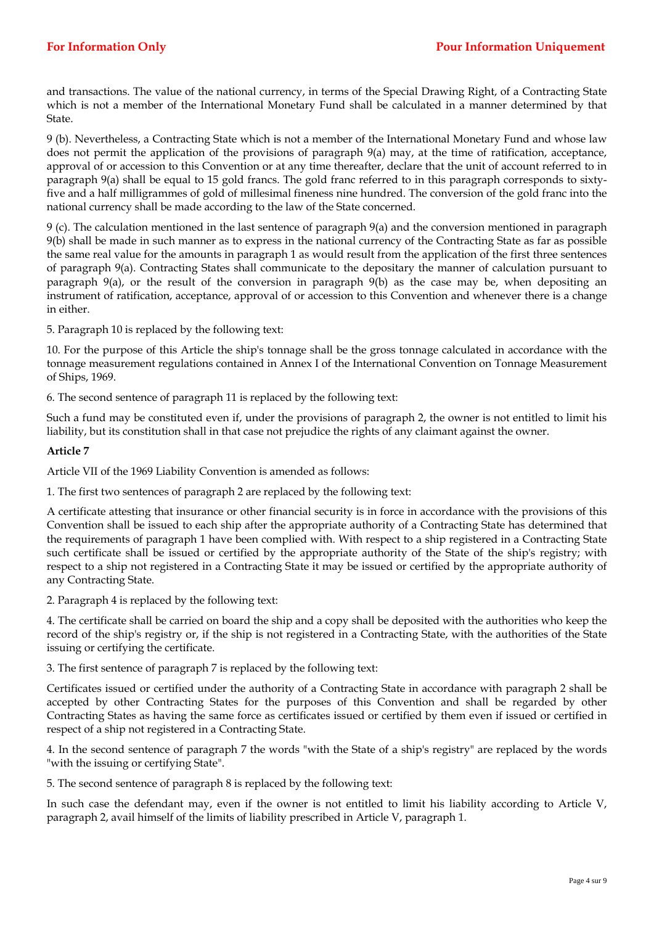and transactions. The value of the national currency, in terms of the Special Drawing Right, of a Contracting State which is not a member of the International Monetary Fund shall be calculated in a manner determined by that State.

9 (b). Nevertheless, a Contracting State which is not a member of the International Monetary Fund and whose law does not permit the application of the provisions of paragraph 9(a) may, at the time of ratification, acceptance, approval of or accession to this Convention or at any time thereafter, declare that the unit of account referred to in paragraph 9(a) shall be equal to 15 gold francs. The gold franc referred to in this paragraph corresponds to sixtyfive and a half milligrammes of gold of millesimal fineness nine hundred. The conversion of the gold franc into the national currency shall be made according to the law of the State concerned.

9 (c). The calculation mentioned in the last sentence of paragraph 9(a) and the conversion mentioned in paragraph 9(b) shall be made in such manner as to express in the national currency of the Contracting State as far as possible the same real value for the amounts in paragraph 1 as would result from the application of the first three sentences of paragraph 9(a). Contracting States shall communicate to the depositary the manner of calculation pursuant to paragraph 9(a), or the result of the conversion in paragraph 9(b) as the case may be, when depositing an instrument of ratification, acceptance, approval of or accession to this Convention and whenever there is a change in either.

5. Paragraph 10 is replaced by the following text:

10. For the purpose of this Article the ship's tonnage shall be the gross tonnage calculated in accordance with the tonnage measurement regulations contained in Annex I of the International Convention on Tonnage Measurement of Ships, 1969.

6. The second sentence of paragraph 11 is replaced by the following text:

Such a fund may be constituted even if, under the provisions of paragraph 2, the owner is not entitled to limit his liability, but its constitution shall in that case not prejudice the rights of any claimant against the owner.

# **Article 7**

Article VII of the 1969 Liability Convention is amended as follows:

1. The first two sentences of paragraph 2 are replaced by the following text:

A certificate attesting that insurance or other financial security is in force in accordance with the provisions of this Convention shall be issued to each ship after the appropriate authority of a Contracting State has determined that the requirements of paragraph 1 have been complied with. With respect to a ship registered in a Contracting State such certificate shall be issued or certified by the appropriate authority of the State of the ship's registry; with respect to a ship not registered in a Contracting State it may be issued or certified by the appropriate authority of any Contracting State.

2. Paragraph 4 is replaced by the following text:

4. The certificate shall be carried on board the ship and a copy shall be deposited with the authorities who keep the record of the ship's registry or, if the ship is not registered in a Contracting State, with the authorities of the State issuing or certifying the certificate.

3. The first sentence of paragraph 7 is replaced by the following text:

Certificates issued or certified under the authority of a Contracting State in accordance with paragraph 2 shall be accepted by other Contracting States for the purposes of this Convention and shall be regarded by other Contracting States as having the same force as certificates issued or certified by them even if issued or certified in respect of a ship not registered in a Contracting State.

4. In the second sentence of paragraph 7 the words "with the State of a ship's registry" are replaced by the words "with the issuing or certifying State".

5. The second sentence of paragraph 8 is replaced by the following text:

In such case the defendant may, even if the owner is not entitled to limit his liability according to Article V, paragraph 2, avail himself of the limits of liability prescribed in Article V, paragraph 1.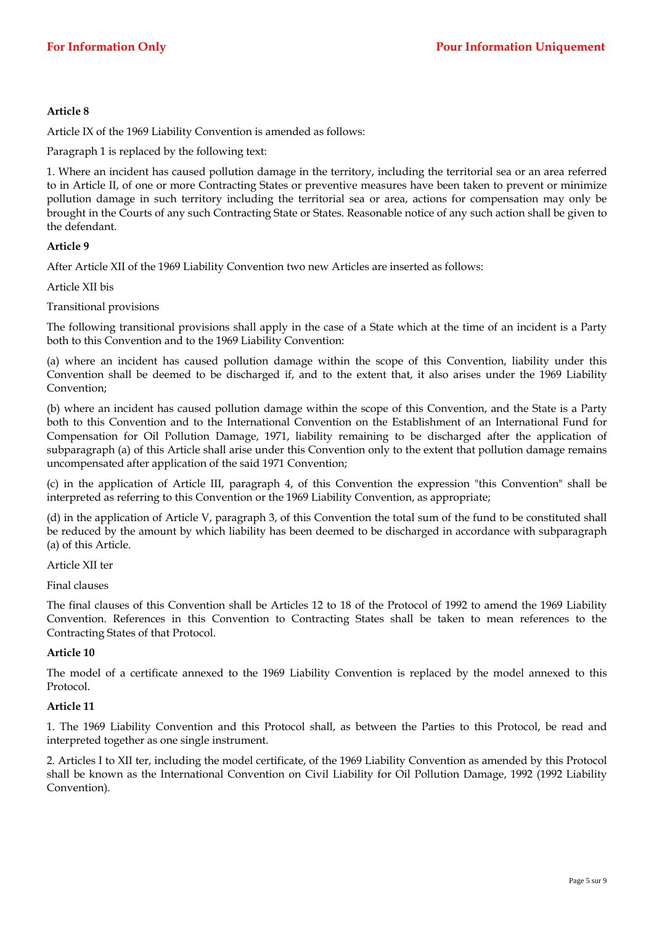Article IX of the 1969 Liability Convention is amended as follows:

Paragraph 1 is replaced by the following text:

1. Where an incident has caused pollution damage in the territory, including the territorial sea or an area referred to in Article II, of one or more Contracting States or preventive measures have been taken to prevent or minimize pollution damage in such territory including the territorial sea or area, actions for compensation may only be brought in the Courts of any such Contracting State or States. Reasonable notice of any such action shall be given to the defendant.

## **Article 9**

After Article XII of the 1969 Liability Convention two new Articles are inserted as follows:

Article XII bis

Transitional provisions

The following transitional provisions shall apply in the case of a State which at the time of an incident is a Party both to this Convention and to the 1969 Liability Convention:

(a) where an incident has caused pollution damage within the scope of this Convention, liability under this Convention shall be deemed to be discharged if, and to the extent that, it also arises under the 1969 Liability Convention;

(b) where an incident has caused pollution damage within the scope of this Convention, and the State is a Party both to this Convention and to the International Convention on the Establishment of an International Fund for Compensation for Oil Pollution Damage, 1971, liability remaining to be discharged after the application of subparagraph (a) of this Article shall arise under this Convention only to the extent that pollution damage remains uncompensated after application of the said 1971 Convention;

(c) in the application of Article III, paragraph 4, of this Convention the expression "this Convention" shall be interpreted as referring to this Convention or the 1969 Liability Convention, as appropriate;

(d) in the application of Article V, paragraph 3, of this Convention the total sum of the fund to be constituted shall be reduced by the amount by which liability has been deemed to be discharged in accordance with subparagraph (a) of this Article.

Article XII ter

Final clauses

The final clauses of this Convention shall be Articles 12 to 18 of the Protocol of 1992 to amend the 1969 Liability Convention. References in this Convention to Contracting States shall be taken to mean references to the Contracting States of that Protocol.

# **Article 10**

The model of a certificate annexed to the 1969 Liability Convention is replaced by the model annexed to this Protocol.

## **Article 11**

1. The 1969 Liability Convention and this Protocol shall, as between the Parties to this Protocol, be read and interpreted together as one single instrument.

2. Articles I to XII ter, including the model certificate, of the 1969 Liability Convention as amended by this Protocol shall be known as the International Convention on Civil Liability for Oil Pollution Damage, 1992 (1992 Liability Convention).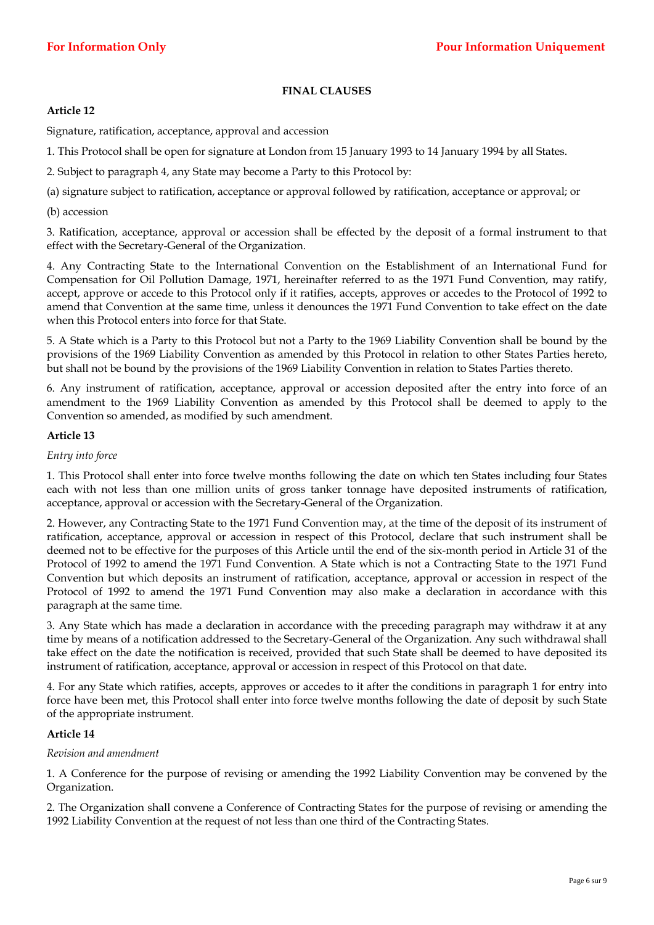# **FINAL CLAUSES**

# **Article 12**

Signature, ratification, acceptance, approval and accession

1. This Protocol shall be open for signature at London from 15 January 1993 to 14 January 1994 by all States.

2. Subject to paragraph 4, any State may become a Party to this Protocol by:

(a) signature subject to ratification, acceptance or approval followed by ratification, acceptance or approval; or

(b) accession

3. Ratification, acceptance, approval or accession shall be effected by the deposit of a formal instrument to that effect with the Secretary-General of the Organization.

4. Any Contracting State to the International Convention on the Establishment of an International Fund for Compensation for Oil Pollution Damage, 1971, hereinafter referred to as the 1971 Fund Convention, may ratify, accept, approve or accede to this Protocol only if it ratifies, accepts, approves or accedes to the Protocol of 1992 to amend that Convention at the same time, unless it denounces the 1971 Fund Convention to take effect on the date when this Protocol enters into force for that State.

5. A State which is a Party to this Protocol but not a Party to the 1969 Liability Convention shall be bound by the provisions of the 1969 Liability Convention as amended by this Protocol in relation to other States Parties hereto, but shall not be bound by the provisions of the 1969 Liability Convention in relation to States Parties thereto.

6. Any instrument of ratification, acceptance, approval or accession deposited after the entry into force of an amendment to the 1969 Liability Convention as amended by this Protocol shall be deemed to apply to the Convention so amended, as modified by such amendment.

## **Article 13**

# *Entry into force*

1. This Protocol shall enter into force twelve months following the date on which ten States including four States each with not less than one million units of gross tanker tonnage have deposited instruments of ratification, acceptance, approval or accession with the Secretary-General of the Organization.

2. However, any Contracting State to the 1971 Fund Convention may, at the time of the deposit of its instrument of ratification, acceptance, approval or accession in respect of this Protocol, declare that such instrument shall be deemed not to be effective for the purposes of this Article until the end of the six-month period in Article 31 of the Protocol of 1992 to amend the 1971 Fund Convention. A State which is not a Contracting State to the 1971 Fund Convention but which deposits an instrument of ratification, acceptance, approval or accession in respect of the Protocol of 1992 to amend the 1971 Fund Convention may also make a declaration in accordance with this paragraph at the same time.

3. Any State which has made a declaration in accordance with the preceding paragraph may withdraw it at any time by means of a notification addressed to the Secretary-General of the Organization. Any such withdrawal shall take effect on the date the notification is received, provided that such State shall be deemed to have deposited its instrument of ratification, acceptance, approval or accession in respect of this Protocol on that date.

4. For any State which ratifies, accepts, approves or accedes to it after the conditions in paragraph 1 for entry into force have been met, this Protocol shall enter into force twelve months following the date of deposit by such State of the appropriate instrument.

# **Article 14**

# *Revision and amendment*

1. A Conference for the purpose of revising or amending the 1992 Liability Convention may be convened by the Organization.

2. The Organization shall convene a Conference of Contracting States for the purpose of revising or amending the 1992 Liability Convention at the request of not less than one third of the Contracting States.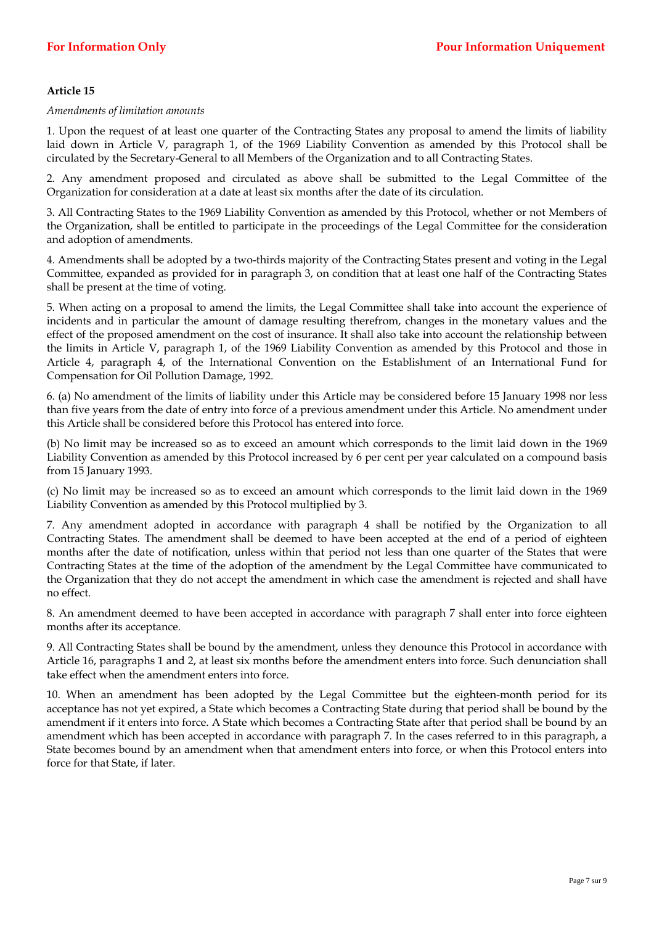*Amendments of limitation amounts* 

1. Upon the request of at least one quarter of the Contracting States any proposal to amend the limits of liability laid down in Article V, paragraph 1, of the 1969 Liability Convention as amended by this Protocol shall be circulated by the Secretary-General to all Members of the Organization and to all Contracting States.

2. Any amendment proposed and circulated as above shall be submitted to the Legal Committee of the Organization for consideration at a date at least six months after the date of its circulation.

3. All Contracting States to the 1969 Liability Convention as amended by this Protocol, whether or not Members of the Organization, shall be entitled to participate in the proceedings of the Legal Committee for the consideration and adoption of amendments.

4. Amendments shall be adopted by a two-thirds majority of the Contracting States present and voting in the Legal Committee, expanded as provided for in paragraph 3, on condition that at least one half of the Contracting States shall be present at the time of voting.

5. When acting on a proposal to amend the limits, the Legal Committee shall take into account the experience of incidents and in particular the amount of damage resulting therefrom, changes in the monetary values and the effect of the proposed amendment on the cost of insurance. It shall also take into account the relationship between the limits in Article V, paragraph 1, of the 1969 Liability Convention as amended by this Protocol and those in Article 4, paragraph 4, of the International Convention on the Establishment of an International Fund for Compensation for Oil Pollution Damage, 1992.

6. (a) No amendment of the limits of liability under this Article may be considered before 15 January 1998 nor less than five years from the date of entry into force of a previous amendment under this Article. No amendment under this Article shall be considered before this Protocol has entered into force.

(b) No limit may be increased so as to exceed an amount which corresponds to the limit laid down in the 1969 Liability Convention as amended by this Protocol increased by 6 per cent per year calculated on a compound basis from 15 January 1993.

(c) No limit may be increased so as to exceed an amount which corresponds to the limit laid down in the 1969 Liability Convention as amended by this Protocol multiplied by 3.

7. Any amendment adopted in accordance with paragraph 4 shall be notified by the Organization to all Contracting States. The amendment shall be deemed to have been accepted at the end of a period of eighteen months after the date of notification, unless within that period not less than one quarter of the States that were Contracting States at the time of the adoption of the amendment by the Legal Committee have communicated to the Organization that they do not accept the amendment in which case the amendment is rejected and shall have no effect.

8. An amendment deemed to have been accepted in accordance with paragraph 7 shall enter into force eighteen months after its acceptance.

9. All Contracting States shall be bound by the amendment, unless they denounce this Protocol in accordance with Article 16, paragraphs 1 and 2, at least six months before the amendment enters into force. Such denunciation shall take effect when the amendment enters into force.

10. When an amendment has been adopted by the Legal Committee but the eighteen-month period for its acceptance has not yet expired, a State which becomes a Contracting State during that period shall be bound by the amendment if it enters into force. A State which becomes a Contracting State after that period shall be bound by an amendment which has been accepted in accordance with paragraph 7. In the cases referred to in this paragraph, a State becomes bound by an amendment when that amendment enters into force, or when this Protocol enters into force for that State, if later.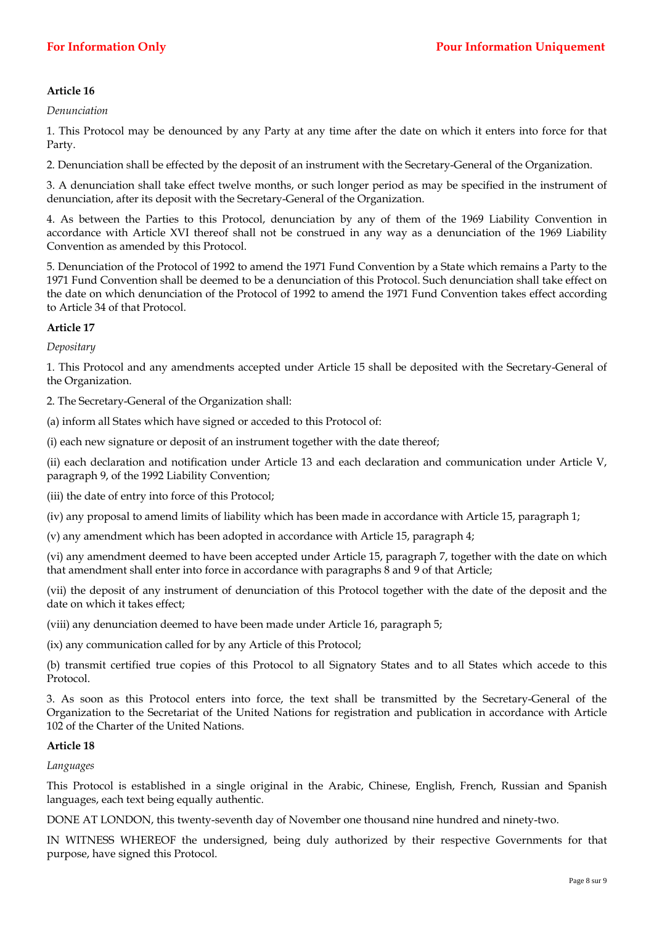*Denunciation* 

1. This Protocol may be denounced by any Party at any time after the date on which it enters into force for that Party.

2. Denunciation shall be effected by the deposit of an instrument with the Secretary-General of the Organization.

3. A denunciation shall take effect twelve months, or such longer period as may be specified in the instrument of denunciation, after its deposit with the Secretary-General of the Organization.

4. As between the Parties to this Protocol, denunciation by any of them of the 1969 Liability Convention in accordance with Article XVI thereof shall not be construed in any way as a denunciation of the 1969 Liability Convention as amended by this Protocol.

5. Denunciation of the Protocol of 1992 to amend the 1971 Fund Convention by a State which remains a Party to the 1971 Fund Convention shall be deemed to be a denunciation of this Protocol. Such denunciation shall take effect on the date on which denunciation of the Protocol of 1992 to amend the 1971 Fund Convention takes effect according to Article 34 of that Protocol.

# **Article 17**

*Depositary* 

1. This Protocol and any amendments accepted under Article 15 shall be deposited with the Secretary-General of the Organization.

2. The Secretary-General of the Organization shall:

(a) inform all States which have signed or acceded to this Protocol of:

(i) each new signature or deposit of an instrument together with the date thereof;

(ii) each declaration and notification under Article 13 and each declaration and communication under Article V, paragraph 9, of the 1992 Liability Convention;

(iii) the date of entry into force of this Protocol;

(iv) any proposal to amend limits of liability which has been made in accordance with Article 15, paragraph 1;

(v) any amendment which has been adopted in accordance with Article 15, paragraph 4;

(vi) any amendment deemed to have been accepted under Article 15, paragraph 7, together with the date on which that amendment shall enter into force in accordance with paragraphs 8 and 9 of that Article;

(vii) the deposit of any instrument of denunciation of this Protocol together with the date of the deposit and the date on which it takes effect;

(viii) any denunciation deemed to have been made under Article 16, paragraph 5;

(ix) any communication called for by any Article of this Protocol;

(b) transmit certified true copies of this Protocol to all Signatory States and to all States which accede to this Protocol.

3. As soon as this Protocol enters into force, the text shall be transmitted by the Secretary-General of the Organization to the Secretariat of the United Nations for registration and publication in accordance with Article 102 of the Charter of the United Nations.

# **Article 18**

*Languages* 

This Protocol is established in a single original in the Arabic, Chinese, English, French, Russian and Spanish languages, each text being equally authentic.

DONE AT LONDON, this twenty-seventh day of November one thousand nine hundred and ninety-two.

IN WITNESS WHEREOF the undersigned, being duly authorized by their respective Governments for that purpose, have signed this Protocol.